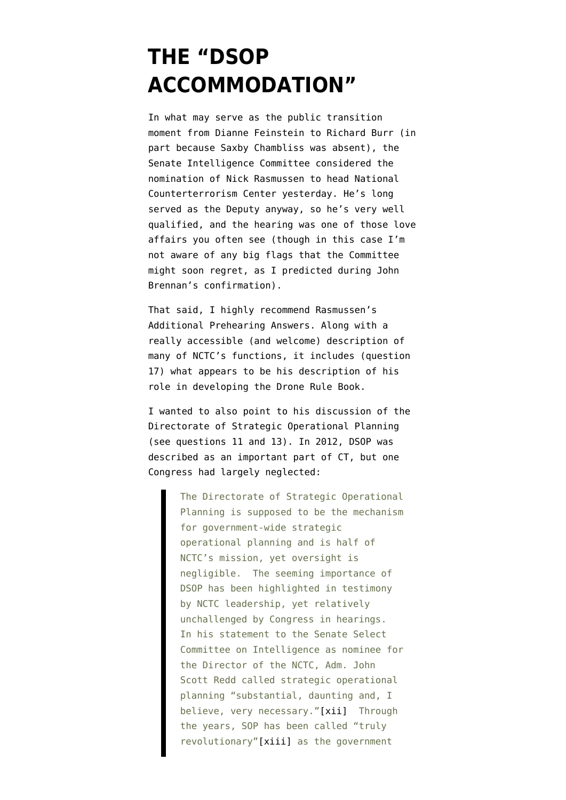## **[THE "DSOP](https://www.emptywheel.net/2014/11/21/the-dsop-accommodation/) [ACCOMMODATION"](https://www.emptywheel.net/2014/11/21/the-dsop-accommodation/)**

In what may serve as the public transition moment from Dianne Feinstein to Richard Burr (in part because Saxby Chambliss was absent), the Senate Intelligence Committee [considered](http://www.senate.gov/isvp/?type=live&comm=intel&filename=intel112014&stt=01:05:38) the nomination of Nick Rasmussen to head National Counterterrorism Center yesterday. He's long served as the Deputy anyway, so he's very well qualified, and the hearing was one of those love affairs you often see (though in this case I'm not aware of any big flags that the Committee might soon regret, as I predicted during John Brennan's confirmation).

That said, I highly recommend Rasmussen's [Additional Prehearing Answers](https://www.emptywheel.net/wp-content/uploads/2014/11/141120-Rasmussen-prehearing.pdf). Along with a really accessible (and welcome) description of many of NCTC's functions, it includes (question 17) what appears to be his description of his role in developing the Drone Rule Book.

I wanted to also point to his discussion of the Directorate of Strategic Operational Planning (see questions 11 and 13). In 2012, DSOP [was](http://inssblog.wordpress.com/2012/06/19/strategic-operational-planning-and-congressional-oversight-of-intelligence/) [described](http://inssblog.wordpress.com/2012/06/19/strategic-operational-planning-and-congressional-oversight-of-intelligence/) as an important part of CT, but one Congress had largely neglected:

> The Directorate of Strategic Operational Planning is supposed to be the mechanism for government-wide strategic operational planning and is half of NCTC's mission, yet oversight is negligible. The seeming importance of DSOP has been highlighted in testimony by NCTC leadership, yet relatively unchallenged by Congress in hearings. In his statement to the Senate Select Committee on Intelligence as nominee for the Director of the NCTC, Adm. John Scott Redd called strategic operational planning "substantial, daunting and, I believe, very necessary.["\[xii\]](http://inssblog.wordpress.com/2012/06/19/strategic-operational-planning-and-congressional-oversight-of-intelligence/#_edn12) Through the years, SOP has been called "truly revolutionary"[\[xiii\]](http://inssblog.wordpress.com/2012/06/19/strategic-operational-planning-and-congressional-oversight-of-intelligence/#_edn13) as the government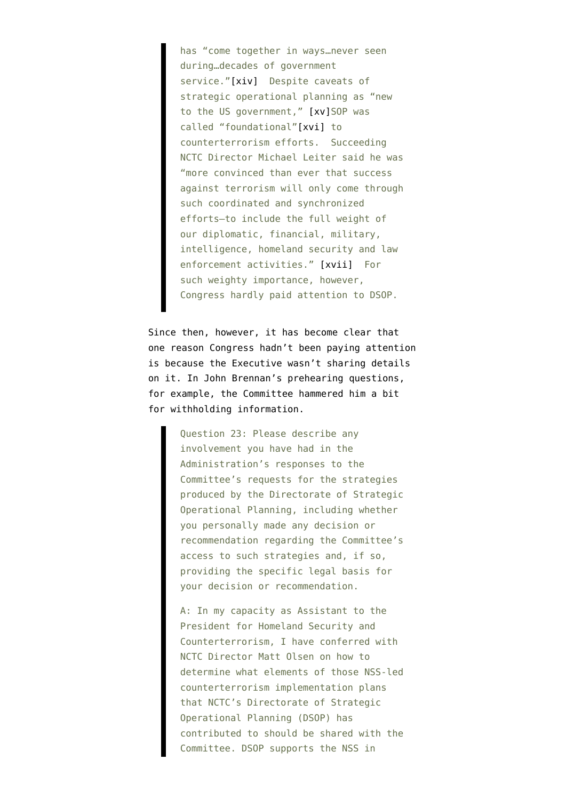has "come together in ways…never seen during…decades of government service.["\[xiv\]](http://inssblog.wordpress.com/2012/06/19/strategic-operational-planning-and-congressional-oversight-of-intelligence/#_edn14) Despite caveats of strategic operational planning as "new to the US government," [\[xv\]](http://inssblog.wordpress.com/2012/06/19/strategic-operational-planning-and-congressional-oversight-of-intelligence/#_edn15)SOP was called "foundational"[\[xvi\]](http://inssblog.wordpress.com/2012/06/19/strategic-operational-planning-and-congressional-oversight-of-intelligence/#_edn16) to counterterrorism efforts. Succeeding NCTC Director Michael Leiter said he was "more convinced than ever that success against terrorism will only come through such coordinated and synchronized efforts—to include the full weight of our diplomatic, financial, military, intelligence, homeland security and law enforcement activities." [\[xvii\]](http://inssblog.wordpress.com/2012/06/19/strategic-operational-planning-and-congressional-oversight-of-intelligence/#_edn17) For such weighty importance, however, Congress hardly paid attention to DSOP.

Since then, however, it has become clear that one reason Congress hadn't been paying attention is because the Executive wasn't sharing details on it. In John Brennan's [prehearing questions](http://www.intelligence.senate.gov/130207/prehearing.pdf), for example, the Committee hammered him a bit for withholding information.

> Question 23: Please describe any involvement you have had in the Administration's responses to the Committee's requests for the strategies produced by the Directorate of Strategic Operational Planning, including whether you personally made any decision or recommendation regarding the Committee's access to such strategies and, if so, providing the specific legal basis for your decision or recommendation.

A: In my capacity as Assistant to the President for Homeland Security and Counterterrorism, I have conferred with NCTC Director Matt Olsen on how to determine what elements of those NSS-led counterterrorism implementation plans that NCTC's Directorate of Strategic Operational Planning (DSOP) has contributed to should be shared with the Committee. DSOP supports the NSS in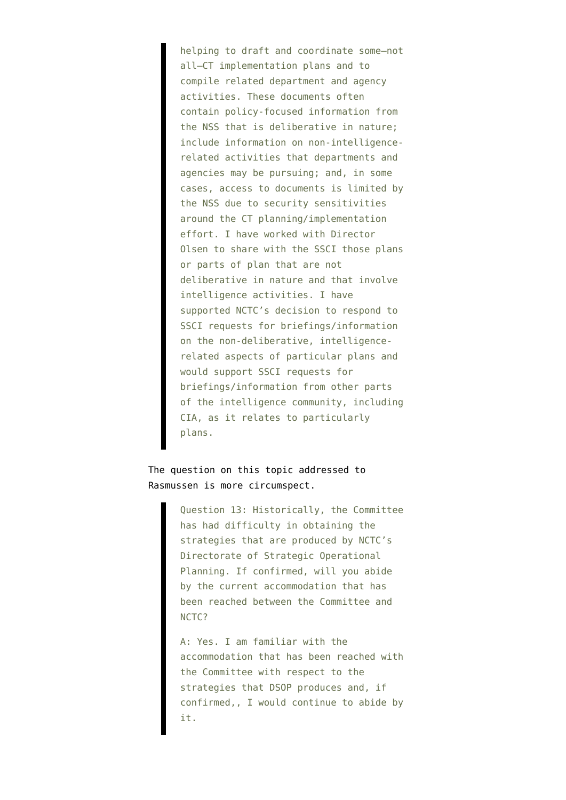helping to draft and coordinate some–not all–CT implementation plans and to compile related department and agency activities. These documents often contain policy-focused information from the NSS that is deliberative in nature; include information on non-intelligencerelated activities that departments and agencies may be pursuing; and, in some cases, access to documents is limited by the NSS due to security sensitivities around the CT planning/implementation effort. I have worked with Director Olsen to share with the SSCI those plans or parts of plan that are not deliberative in nature and that involve intelligence activities. I have supported NCTC's decision to respond to SSCI requests for briefings/information on the non-deliberative, intelligencerelated aspects of particular plans and would support SSCI requests for briefings/information from other parts of the intelligence community, including CIA, as it relates to particularly plans.

The question on this topic addressed to Rasmussen is more circumspect.

> Question 13: Historically, the Committee has had difficulty in obtaining the strategies that are produced by NCTC's Directorate of Strategic Operational Planning. If confirmed, will you abide by the current accommodation that has been reached between the Committee and NCTC?

> A: Yes. I am familiar with the accommodation that has been reached with the Committee with respect to the strategies that DSOP produces and, if confirmed,, I would continue to abide by it.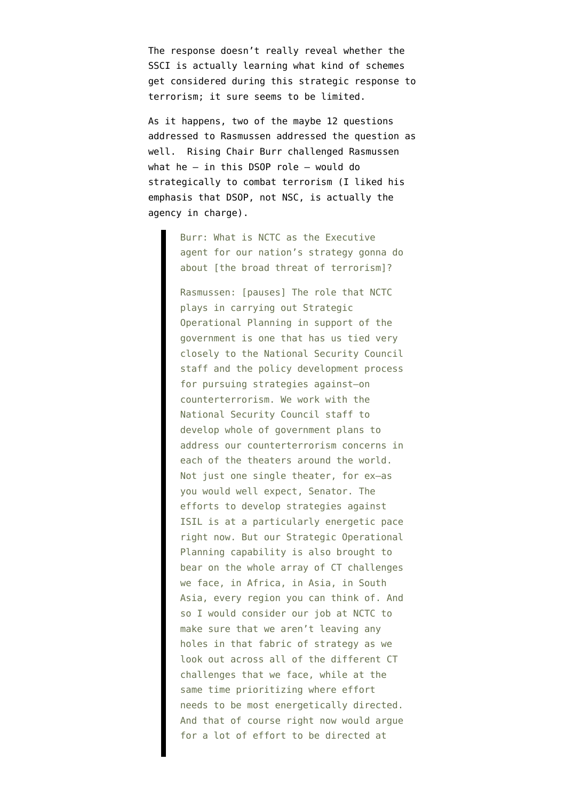The response doesn't really reveal whether the SSCI is actually learning what kind of schemes get considered during this strategic response to terrorism; it sure seems to be limited.

As it happens, two of the maybe 12 questions addressed to Rasmussen addressed the question as well. Rising Chair Burr challenged Rasmussen what he — in this DSOP role — would do strategically to combat terrorism (I liked his emphasis that DSOP, not NSC, is actually the agency in charge).

> Burr: What is NCTC as the Executive agent for our nation's strategy gonna do about [the broad threat of terrorism]?

> Rasmussen: [pauses] The role that NCTC plays in carrying out Strategic Operational Planning in support of the government is one that has us tied very closely to the National Security Council staff and the policy development process for pursuing strategies against–on counterterrorism. We work with the National Security Council staff to develop whole of government plans to address our counterterrorism concerns in each of the theaters around the world. Not just one single theater, for ex–as you would well expect, Senator. The efforts to develop strategies against ISIL is at a particularly energetic pace right now. But our Strategic Operational Planning capability is also brought to bear on the whole array of CT challenges we face, in Africa, in Asia, in South Asia, every region you can think of. And so I would consider our job at NCTC to make sure that we aren't leaving any holes in that fabric of strategy as we look out across all of the different CT challenges that we face, while at the same time prioritizing where effort needs to be most energetically directed. And that of course right now would argue for a lot of effort to be directed at